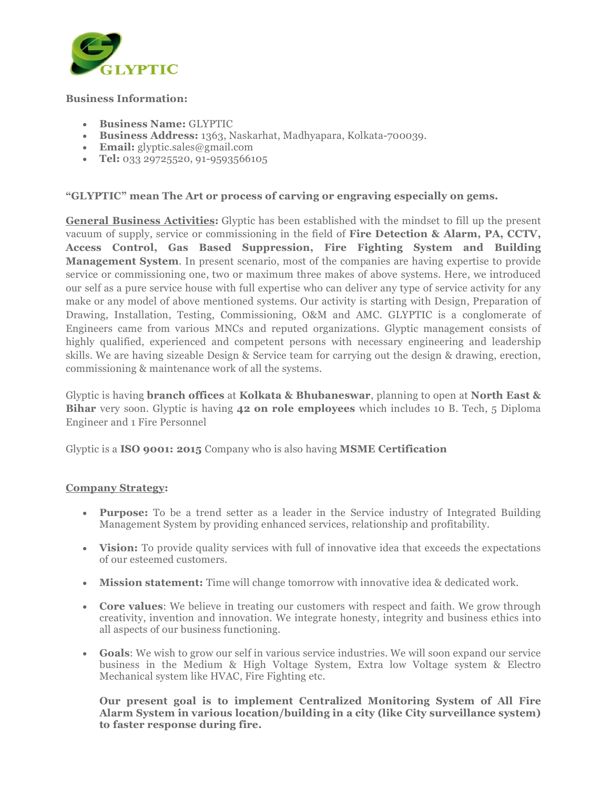

## Business Information:

- Business Name: GLYPTIC
- Business Address: 1363, Naskarhat, Madhyapara, Kolkata-700039.
- $\bullet$  Email: glyptic.sales@gmail.com
- Tel: 033 29725520, 91-9593566105

## "GLYPTIC" mean The Art or process of carving or engraving especially on gems.

General Business Activities: Glyptic has been established with the mindset to fill up the present vacuum of supply, service or commissioning in the field of Fire Detection & Alarm, PA, CCTV, Access Control, Gas Based Suppression, Fire Fighting System and Building Management System. In present scenario, most of the companies are having expertise to provide service or commissioning one, two or maximum three makes of above systems. Here, we introduced our self as a pure service house with full expertise who can deliver any type of service activity for any make or any model of above mentioned systems. Our activity is starting with Design, Preparation of Drawing, Installation, Testing, Commissioning, O&M and AMC. GLYPTIC is a conglomerate of Engineers came from various MNCs and reputed organizations. Glyptic management consists of highly qualified, experienced and competent persons with necessary engineering and leadership skills. We are having sizeable Design & Service team for carrying out the design & drawing, erection, commissioning & maintenance work of all the systems.

Glyptic is having **branch offices** at Kolkata & Bhubaneswar, planning to open at North East  $\&$ Bihar very soon. Glyptic is having 42 on role employees which includes 10 B. Tech, 5 Diploma Engineer and 1 Fire Personnel

Glyptic is a ISO 9001: 2015 Company who is also having MSME Certification

## Company Strategy:

- Purpose: To be a trend setter as a leader in the Service industry of Integrated Building Management System by providing enhanced services, relationship and profitability.
- Vision: To provide quality services with full of innovative idea that exceeds the expectations of our esteemed customers.
- Mission statement: Time will change tomorrow with innovative idea & dedicated work.
- Core values: We believe in treating our customers with respect and faith. We grow through creativity, invention and innovation. We integrate honesty, integrity and business ethics into all aspects of our business functioning.
- Goals: We wish to grow our self in various service industries. We will soon expand our service business in the Medium & High Voltage System, Extra low Voltage system & Electro Mechanical system like HVAC, Fire Fighting etc.

Our present goal is to implement Centralized Monitoring System of All Fire Alarm System in various location/building in a city (like City surveillance system) to faster response during fire.